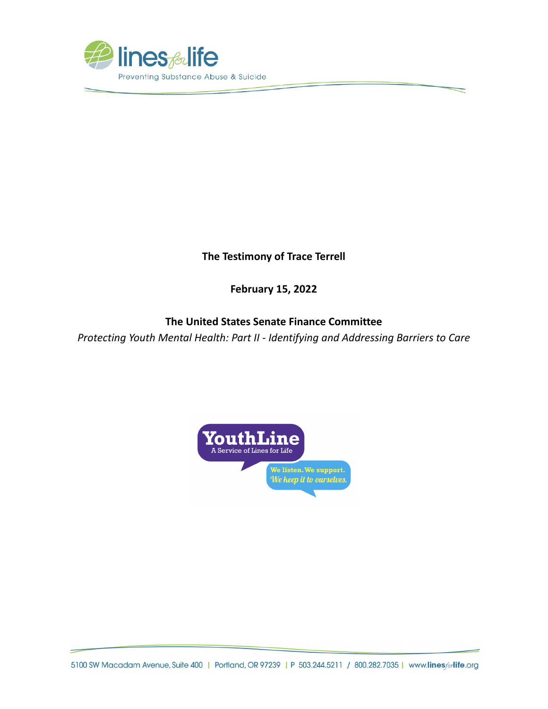

**The Testimony of Trace Terrell**

**February 15, 2022**

## **The United States Senate Finance Committee**

*Protecting Youth Mental Health: Part II - Identifying and Addressing Barriers to Care*



5100 SW Macadam Avenue, Suite 400 | Portland, OR 97239 | P 503.244.5211 / 800.282.7035 | www.linesforlife.org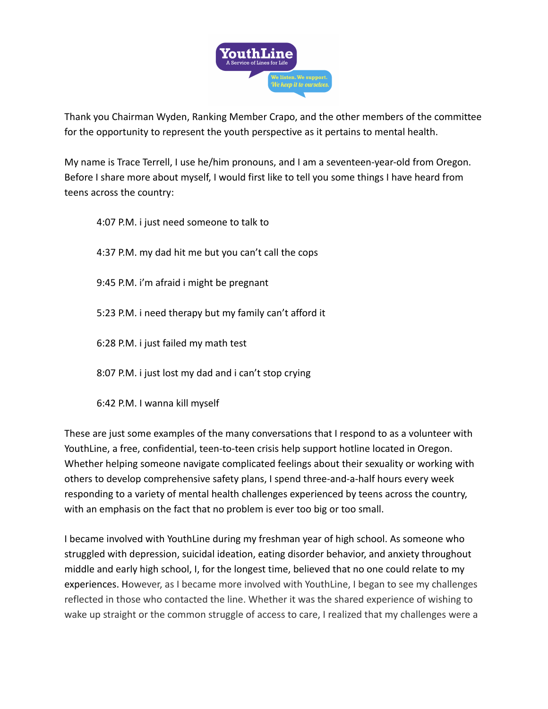

Thank you Chairman Wyden, Ranking Member Crapo, and the other members of the committee for the opportunity to represent the youth perspective as it pertains to mental health.

My name is Trace Terrell, I use he/him pronouns, and I am a seventeen-year-old from Oregon. Before I share more about myself, I would first like to tell you some things I have heard from teens across the country:

4:07 P.M. i just need someone to talk to 4:37 P.M. my dad hit me but you can't call the cops 9:45 P.M. i'm afraid i might be pregnant 5:23 P.M. i need therapy but my family can't afford it 6:28 P.M. i just failed my math test 8:07 P.M. i just lost my dad and i can't stop crying

6:42 P.M. I wanna kill myself

These are just some examples of the many conversations that I respond to as a volunteer with YouthLine, a free, confidential, teen-to-teen crisis help support hotline located in Oregon. Whether helping someone navigate complicated feelings about their sexuality or working with others to develop comprehensive safety plans, I spend three-and-a-half hours every week responding to a variety of mental health challenges experienced by teens across the country, with an emphasis on the fact that no problem is ever too big or too small.

I became involved with YouthLine during my freshman year of high school. As someone who struggled with depression, suicidal ideation, eating disorder behavior, and anxiety throughout middle and early high school, I, for the longest time, believed that no one could relate to my experiences. However, as I became more involved with YouthLine, I began to see my challenges reflected in those who contacted the line. Whether it was the shared experience of wishing to wake up straight or the common struggle of access to care, I realized that my challenges were a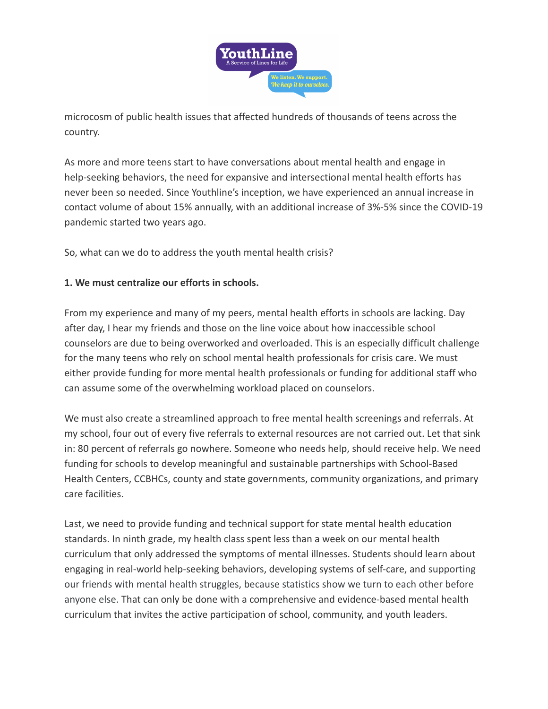

microcosm of public health issues that affected hundreds of thousands of teens across the country.

As more and more teens start to have conversations about mental health and engage in help-seeking behaviors, the need for expansive and intersectional mental health efforts has never been so needed. Since Youthline's inception, we have experienced an annual increase in contact volume of about 15% annually, with an additional increase of 3%-5% since the COVID-19 pandemic started two years ago.

So, what can we do to address the youth mental health crisis?

## **1. We must centralize our efforts in schools.**

From my experience and many of my peers, mental health efforts in schools are lacking. Day after day, I hear my friends and those on the line voice about how inaccessible school counselors are due to being overworked and overloaded. This is an especially difficult challenge for the many teens who rely on school mental health professionals for crisis care. We must either provide funding for more mental health professionals or funding for additional staff who can assume some of the overwhelming workload placed on counselors.

We must also create a streamlined approach to free mental health screenings and referrals. At my school, four out of every five referrals to external resources are not carried out. Let that sink in: 80 percent of referrals go nowhere. Someone who needs help, should receive help. We need funding for schools to develop meaningful and sustainable partnerships with School-Based Health Centers, CCBHCs, county and state governments, community organizations, and primary care facilities.

Last, we need to provide funding and technical support for state mental health education standards. In ninth grade, my health class spent less than a week on our mental health curriculum that only addressed the symptoms of mental illnesses. Students should learn about engaging in real-world help-seeking behaviors, developing systems of self-care, and supporting our friends with mental health struggles, because statistics show we turn to each other before anyone else. That can only be done with a comprehensive and evidence-based mental health curriculum that invites the active participation of school, community, and youth leaders.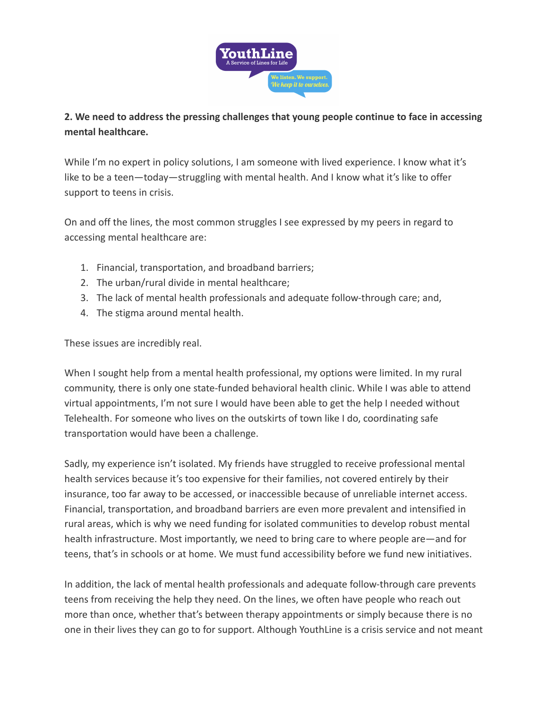

## **2. We need to address the pressing challenges that young people continue to face in accessing mental healthcare.**

While I'm no expert in policy solutions, I am someone with lived experience. I know what it's like to be a teen—today—struggling with mental health. And I know what it's like to offer support to teens in crisis.

On and off the lines, the most common struggles I see expressed by my peers in regard to accessing mental healthcare are:

- 1. Financial, transportation, and broadband barriers;
- 2. The urban/rural divide in mental healthcare;
- 3. The lack of mental health professionals and adequate follow-through care; and,
- 4. The stigma around mental health.

These issues are incredibly real.

When I sought help from a mental health professional, my options were limited. In my rural community, there is only one state-funded behavioral health clinic. While I was able to attend virtual appointments, I'm not sure I would have been able to get the help I needed without Telehealth. For someone who lives on the outskirts of town like I do, coordinating safe transportation would have been a challenge.

Sadly, my experience isn't isolated. My friends have struggled to receive professional mental health services because it's too expensive for their families, not covered entirely by their insurance, too far away to be accessed, or inaccessible because of unreliable internet access. Financial, transportation, and broadband barriers are even more prevalent and intensified in rural areas, which is why we need funding for isolated communities to develop robust mental health infrastructure. Most importantly, we need to bring care to where people are—and for teens, that's in schools or at home. We must fund accessibility before we fund new initiatives.

In addition, the lack of mental health professionals and adequate follow-through care prevents teens from receiving the help they need. On the lines, we often have people who reach out more than once, whether that's between therapy appointments or simply because there is no one in their lives they can go to for support. Although YouthLine is a crisis service and not meant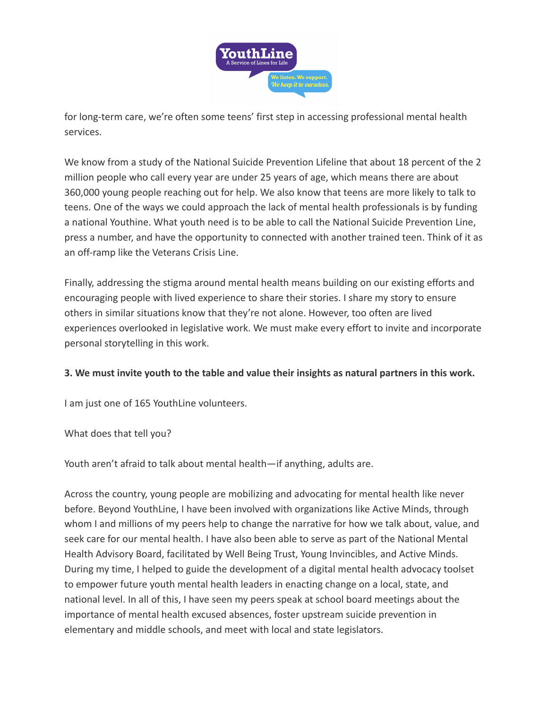

for long-term care, we're often some teens' first step in accessing professional mental health services.

We know from a study of the National Suicide Prevention Lifeline that about 18 percent of the 2 million people who call every year are under 25 years of age, which means there are about 360,000 young people reaching out for help. We also know that teens are more likely to talk to teens. One of the ways we could approach the lack of mental health professionals is by funding a national Youthine. What youth need is to be able to call the National Suicide Prevention Line, press a number, and have the opportunity to connected with another trained teen. Think of it as an off-ramp like the Veterans Crisis Line.

Finally, addressing the stigma around mental health means building on our existing efforts and encouraging people with lived experience to share their stories. I share my story to ensure others in similar situations know that they're not alone. However, too often are lived experiences overlooked in legislative work. We must make every effort to invite and incorporate personal storytelling in this work.

## **3. We must invite youth to the table and value their insights as natural partners in this work.**

I am just one of 165 YouthLine volunteers.

What does that tell you?

Youth aren't afraid to talk about mental health—if anything, adults are.

Across the country, young people are mobilizing and advocating for mental health like never before. Beyond YouthLine, I have been involved with organizations like Active Minds, through whom I and millions of my peers help to change the narrative for how we talk about, value, and seek care for our mental health. I have also been able to serve as part of the National Mental Health Advisory Board, facilitated by Well Being Trust, Young Invincibles, and Active Minds. During my time, I helped to guide the development of a digital mental health advocacy toolset to empower future youth mental health leaders in enacting change on a local, state, and national level. In all of this, I have seen my peers speak at school board meetings about the importance of mental health excused absences, foster upstream suicide prevention in elementary and middle schools, and meet with local and state legislators.